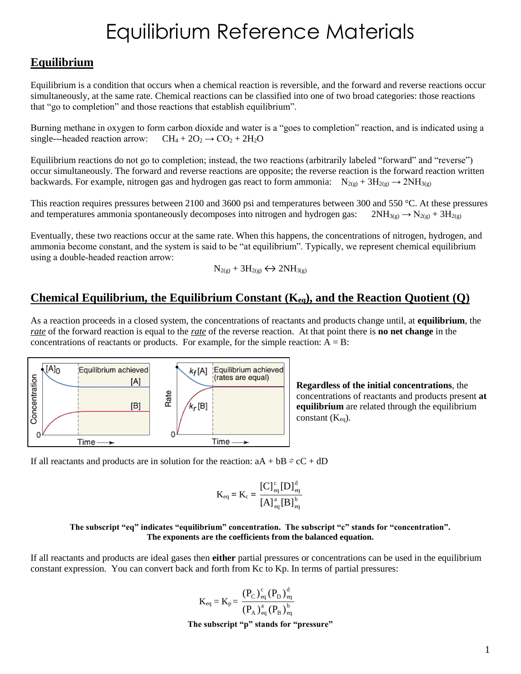## **Equilibrium**

Equilibrium is a condition that occurs when a chemical reaction is reversible, and the forward and reverse reactions occur simultaneously, at the same rate. Chemical reactions can be classified into one of two broad categories: those reactions that "go to completion" and those reactions that establish equilibrium".

Burning methane in oxygen to form carbon dioxide and water is a "goes to completion" reaction, and is indicated using a single---headed reaction arrow:  $CH_4 + 2O_2 \rightarrow CO_2 + 2H_2O$ 

Equilibrium reactions do not go to completion; instead, the two reactions (arbitrarily labeled "forward" and "reverse") occur simultaneously. The forward and reverse reactions are opposite; the reverse reaction is the forward reaction written backwards. For example, nitrogen gas and hydrogen gas react to form ammonia:  $N_{2(g)} + 3H_{2(g)} \rightarrow 2NH_{3(g)}$ 

This reaction requires pressures between 2100 and 3600 psi and temperatures between 300 and 550 °C. At these pressures and temperatures ammonia spontaneously decomposes into nitrogen and hydrogen gas:  $2NH_{3(g)} \rightarrow N_{2(g)} + 3H_{2(g)}$ 

Eventually, these two reactions occur at the same rate. When this happens, the concentrations of nitrogen, hydrogen, and ammonia become constant, and the system is said to be "at equilibrium". Typically, we represent chemical equilibrium using a double‐headed reaction arrow:

$$
N_{2(g)}+3H_{2(g)}\Longleftrightarrow 2NH_{3(g)}
$$

### **Chemical Equilibrium, the Equilibrium Constant (Keq), and the Reaction Quotient (Q)**

As a reaction proceeds in a closed system, the concentrations of reactants and products change until, at **equilibrium**, the *rate* of the forward reaction is equal to the *rate* of the reverse reaction. At that point there is **no net change** in the concentrations of reactants or products. For example, for the simple reaction:  $A = B$ :



**Regardless of the initial concentrations**, the concentrations of reactants and products present **at equilibrium** are related through the equilibrium constant  $(K_{eq})$ .

If all reactants and products are in solution for the reaction:  $aA + bB = cC + dD$ 

$$
K_{eq} = K_c = \frac{[C]_{eq}^c [D]_{eq}^d}{[A]_{eq}^a [B]_{eq}^b}
$$

#### **The subscript "eq" indicates "equilibrium" concentration. The subscript "c" stands for "concentration". The exponents are the coefficients from the balanced equation.**

If all reactants and products are ideal gases then **either** partial pressures or concentrations can be used in the equilibrium constant expression. You can convert back and forth from Kc to Kp. In terms of partial pressures:

$$
K_{eq} = K_p = \frac{(P_C)_{eq}^c (P_D)_{eq}^d}{(P_A)_{eq}^a (P_B)_{eq}^b}
$$
  
The subscript "p" stands for "pressure"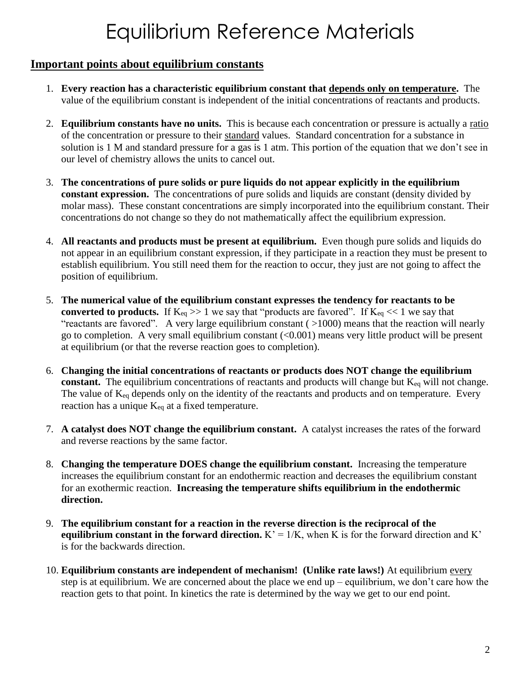### **Important points about equilibrium constants**

- 1. **Every reaction has a characteristic equilibrium constant that depends only on temperature.** The value of the equilibrium constant is independent of the initial concentrations of reactants and products.
- 2. **Equilibrium constants have no units.** This is because each concentration or pressure is actually a ratio of the concentration or pressure to their standard values. Standard concentration for a substance in solution is 1 M and standard pressure for a gas is 1 atm. This portion of the equation that we don't see in our level of chemistry allows the units to cancel out.
- 3. **The concentrations of pure solids or pure liquids do not appear explicitly in the equilibrium constant expression.** The concentrations of pure solids and liquids are constant (density divided by molar mass). These constant concentrations are simply incorporated into the equilibrium constant. Their concentrations do not change so they do not mathematically affect the equilibrium expression.
- 4. **All reactants and products must be present at equilibrium.** Even though pure solids and liquids do not appear in an equilibrium constant expression, if they participate in a reaction they must be present to establish equilibrium. You still need them for the reaction to occur, they just are not going to affect the position of equilibrium.
- 5. **The numerical value of the equilibrium constant expresses the tendency for reactants to be converted to products.** If  $K_{eq} \gg 1$  we say that "products are favored". If  $K_{eq} \ll 1$  we say that "reactants are favored". A very large equilibrium constant ( >1000) means that the reaction will nearly go to completion. A very small equilibrium constant (<0.001) means very little product will be present at equilibrium (or that the reverse reaction goes to completion).
- 6. **Changing the initial concentrations of reactants or products does NOT change the equilibrium**  constant. The equilibrium concentrations of reactants and products will change but K<sub>eq</sub> will not change. The value of  $K_{eq}$  depends only on the identity of the reactants and products and on temperature. Every reaction has a unique  $K_{eq}$  at a fixed temperature.
- 7. **A catalyst does NOT change the equilibrium constant.** A catalyst increases the rates of the forward and reverse reactions by the same factor.
- 8. **Changing the temperature DOES change the equilibrium constant.** Increasing the temperature increases the equilibrium constant for an endothermic reaction and decreases the equilibrium constant for an exothermic reaction. **Increasing the temperature shifts equilibrium in the endothermic direction.**
- 9. **The equilibrium constant for a reaction in the reverse direction is the reciprocal of the equilibrium constant in the forward direction.**  $K' = 1/K$ , when K is for the forward direction and K' is for the backwards direction.
- 10. **Equilibrium constants are independent of mechanism! (Unlike rate laws!)** At equilibrium every step is at equilibrium. We are concerned about the place we end up – equilibrium, we don't care how the reaction gets to that point. In kinetics the rate is determined by the way we get to our end point.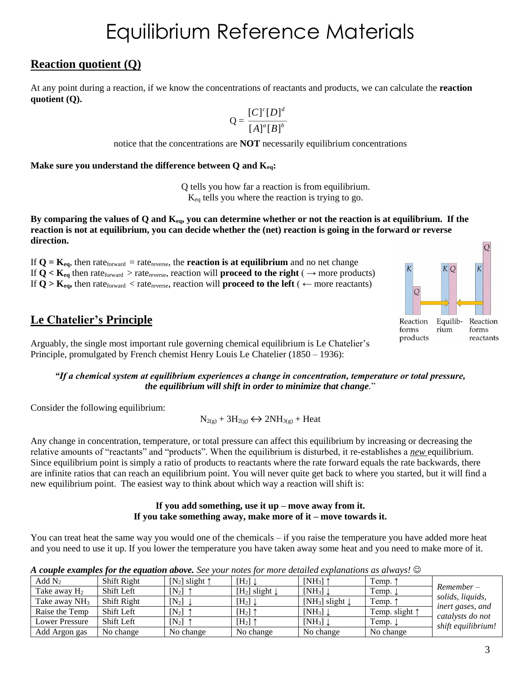### **Reaction quotient (Q)**

At any point during a reaction, if we know the concentrations of reactants and products, we can calculate the **reaction quotient (Q).**

$$
Q = \frac{[C]^c [D]^d}{[A]^a [B]^b}
$$

notice that the concentrations are **NOT** necessarily equilibrium concentrations

**Make sure you understand the difference between Q and Keq:**

Q tells you how far a reaction is from equilibrium. Keq tells you where the reaction is trying to go.

**By comparing the values of Q and Keq, you can determine whether or not the reaction is at equilibrium. If the reaction is not at equilibrium, you can decide whether the (net) reaction is going in the forward or reverse direction.**

If  $Q = K_{eq}$ , then rate<sub>forward</sub> = rate<sub>reverse</sub>, the **reaction is at equilibrium** and no net change If  $Q < K_{eq}$  then rate<sub>forward</sub> > rate<sub>reverse</sub>, reaction will **proceed to the right** ( $\rightarrow$  more products) If  $Q > K_{eq}$ , then rate<sub>forward</sub> < rate<sub>reverse</sub>, reaction will **proceed to the left** ( $\leftarrow$  more reactants)

## **Le Chatelier's Principle**

Arguably, the single most important rule governing chemical equilibrium is Le Chatelier's Principle, promulgated by French chemist Henry Louis Le Chatelier (1850 – 1936):



*"If a chemical system at equilibrium experiences a change in concentration, temperature or total pressure, the equilibrium will shift in order to minimize that change.*"

Consider the following equilibrium:

 $N_{2(g)} + 3H_{2(g)} \leftrightarrow 2NH_{3(g)} + Heat$ 

Any change in concentration, temperature, or total pressure can affect this equilibrium by increasing or decreasing the relative amounts of "reactants" and "products". When the equilibrium is disturbed, it re‐establishes a *new* equilibrium. Since equilibrium point is simply a ratio of products to reactants where the rate forward equals the rate backwards, there are infinite ratios that can reach an equilibrium point. You will never quite get back to where you started, but it will find a new equilibrium point. The easiest way to think about which way a reaction will shift is:

#### **If you add something, use it up – move away from it. If you take something away, make more of it – move towards it.**

You can treat heat the same way you would one of the chemicals – if you raise the temperature you have added more heat and you need to use it up. If you lower the temperature you have taken away some heat and you need to make more of it.

*A couple examples for the equation above. See your notes for more detailed explanations as always!* 

| Add $N_2$                | Shift Right | [N <sub>2</sub> ] slight $\uparrow$ | $[H_2] \downarrow$                    | $[NH_3]$                               | Temp.              |                                      |
|--------------------------|-------------|-------------------------------------|---------------------------------------|----------------------------------------|--------------------|--------------------------------------|
| Take away H <sub>2</sub> | Shift Left  | $[N_2]$ 1                           | [H <sub>2</sub> ] slight $\downarrow$ | $[NH_3] \downarrow$                    | Temp. $\downarrow$ | $Remember -$                         |
| Take away $NH3$          | Shift Right | $[N_2]$ .                           | $[H_2] \downarrow$                    | [NH <sub>3</sub> ] slight $\downarrow$ | Temp.              | solids, liquids,                     |
| Raise the Temp           | Shift Left  | $[N_2]$ 1                           | $[H_2]$ 1                             | $[NH_3] \downarrow$                    | Temp. slight 1     | inert gases, and<br>catalysts do not |
| Lower Pressure           | Shift Left  | $[N_2]$ 1                           | $[H_2]$ 1                             | $[NH_3] \downarrow$                    | Temp.              | shift equilibrium!                   |
| Add Argon gas            | No change   | No change                           | No change                             | No change                              | No change          |                                      |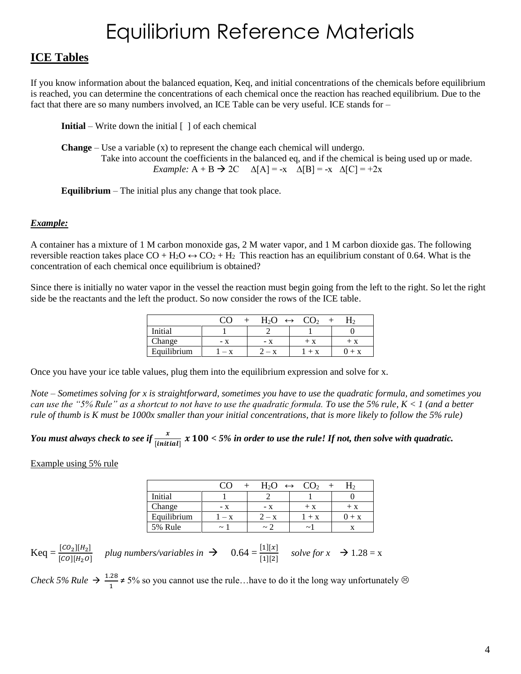## **ICE Tables**

If you know information about the balanced equation, Keq, and initial concentrations of the chemicals before equilibrium is reached, you can determine the concentrations of each chemical once the reaction has reached equilibrium. Due to the fact that there are so many numbers involved, an ICE Table can be very useful. ICE stands for –

**Initial** – Write down the initial  $\lceil \cdot \rceil$  of each chemical

**Change** – Use a variable  $(x)$  to represent the change each chemical will undergo. Take into account the coefficients in the balanced eq, and if the chemical is being used up or made. *Example:*  $A + B \rightarrow 2C \quad \Delta[A] = -x \quad \Delta[B] = -x \quad \Delta[C] = +2x$ 

**Equilibrium** – The initial plus any change that took place.

#### *Example:*

A container has a mixture of 1 M carbon monoxide gas, 2 M water vapor, and 1 M carbon dioxide gas. The following reversible reaction takes place  $CO + H_2O \leftrightarrow CO_2 + H_2$  This reaction has an equilibrium constant of 0.64. What is the concentration of each chemical once equilibrium is obtained?

Since there is initially no water vapor in the vessel the reaction must begin going from the left to the right. So let the right side be the reactants and the left the product. So now consider the rows of the ICE table.

|             |     | H <sub>2</sub> O | $\leftrightarrow$ |     |
|-------------|-----|------------------|-------------------|-----|
| Initial     |     |                  |                   |     |
| Change      | – X | – x              | $+ x$             | + x |
| Equilibrium |     | $- x$            | $+$ X             | + x |

Once you have your ice table values, plug them into the equilibrium expression and solve for x.

*Note – Sometimes solving for x is straightforward, sometimes you have to use the quadratic formula, and sometimes you can use the "5% Rule" as a shortcut to not have to use the quadratic formula. To use the 5% rule, K < 1 (and a better rule of thumb is K must be 1000x smaller than your initial concentrations, that is more likely to follow the 5% rule)*

## You must always check to see if  $\frac{x}{[initial]}$  x  $100 <$  5% in order to use the rule! If not, then solve with quadratic.

Example using 5% rule

|             |                       | $H_2O$        | CO <sub>2</sub><br>$\leftrightarrow$ |       |
|-------------|-----------------------|---------------|--------------------------------------|-------|
| Initial     |                       |               |                                      |       |
| Change      | - X                   | - x           | $+ x$                                | $+ x$ |
| Equilibrium | $- x$                 | $2 - x$       | $+ X$                                | $+ x$ |
| 5% Rule     | $\tilde{\phantom{a}}$ | $\sim$ $\sim$ | $\tilde{\phantom{a}}$                |       |

 $\text{Keq} = \frac{[co_2][H_2]}{[co][H_2 o]}$  plug numbers/variables in  $\rightarrow$  0.64 =  $\frac{[1][x]}{[1][2]}$  solve for  $x \rightarrow 1.28 = x$ 

*Check 5% Rule*  $\rightarrow \frac{1.28}{1}$  $\frac{126}{1}$  ≠ 5% so you cannot use the rule...have to do it the long way unfortunately  $\otimes$